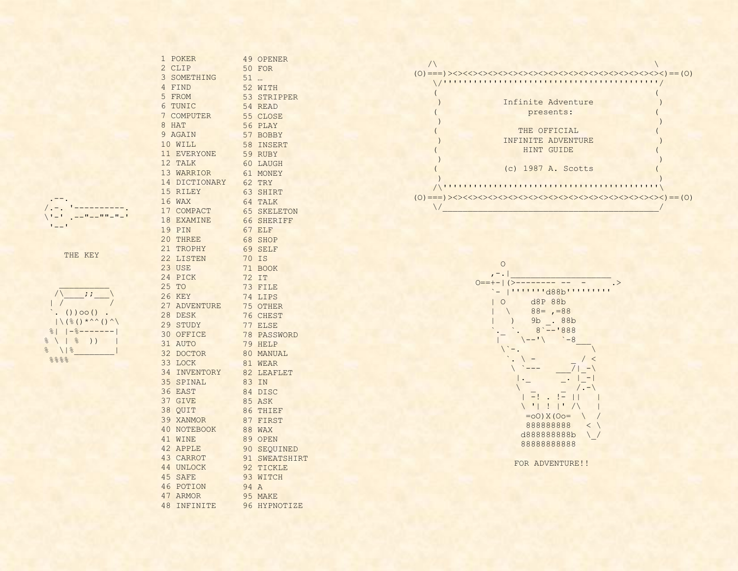.-- . /. -. '---------- . \'-' .--"--""-"-' '-- '

|               |               |               | $()$ ) 00 $()$                                                                   |       |  |
|---------------|---------------|---------------|----------------------------------------------------------------------------------|-------|--|
|               |               |               | $  \setminus ($ $\frac{8}{3}$ ( $)$ $\star \wedge \wedge$ ( ) $\wedge \setminus$ |       |  |
|               | $\frac{8}{2}$ |               | $1 - 8 - - -$                                                                    |       |  |
| ⊱             |               | $\frac{8}{6}$ |                                                                                  | $)$ ) |  |
| $\frac{1}{2}$ |               | $\frac{8}{5}$ |                                                                                  |       |  |
|               | 8888          |               |                                                                                  |       |  |

| 1 POKER<br>49 OPENER<br>2 CLIP<br>50 FOR<br>3 SOMETHING<br>$51$<br>4 FIND<br>52 WITH<br>5 FROM<br>53 STRIPPER<br>6 TUNIC<br>54 READ<br>7 COMPUTER<br>55 CLOSE<br>8 HAT<br>56 PLAY<br>9 AGAIN<br>57 BOBBY<br>10 WILL<br>58 INSERT<br>11 EVERYONE<br>59 RUBY<br>12 TALK<br>60 LAUGH<br>13 WARRIOR<br>61 MONEY<br>14 DICTIONARY 62 TRY<br>15 RILEY<br>16 WAX<br>63 SHIRT<br>64 TALK<br>17 COMPACT<br><b>65 SKELETON</b><br>18 EXAMINE<br>66 SHERIFF<br>p.<br>19 PIN<br>67 ELF<br>20 THREE<br>68 SHOP<br>21 TROPHY<br>69 SELF<br>THE KEY<br>22 LISTEN<br>70 IS<br>23 USE<br>71 BOOK<br>24 PICK<br>72 IT<br>25 TO<br>73 FILE<br>$-i$ : $-$<br>26 KEY<br>74 LIPS<br>27 ADVENTURE<br>75 OTHER<br>$. ()$ ) 00 () .<br>28 DESK<br>76 CHEST<br>$  \setminus ( \frac{6}{6} () * \land \land () \land \setminus$<br>77 ELSE<br>29 STUDY<br>$    -8----- $<br>30 OFFICE<br>78 PASSWORD<br>$\left( \begin{array}{cc}   & 0 \\   & 0 \\   & 0 \end{array} \right)$<br>31 AUTO<br>79 HELP<br>$\sqrt{8}$<br>32 DOCTOR<br>33 LOCK<br>80 MANUAL<br>888<br>81 WEAR<br>82 LEAFLET<br>34 INVENTORY<br>35 SPINAL<br>83 IN<br>36 EAST<br>84 DISC<br>37 GIVE<br>85 ASK<br>38 QUIT<br>86 THIEF<br>39 XANMOR<br>87 FIRST<br>40 NOTEBOOK<br><b>88 WAX</b><br>41 WINE<br>89 OPEN<br>42 APPLE<br>90 SEOUINED<br>43 CARROT<br>91 SWEATSHIRT<br>44 UNLOCK<br>92 TICKLE<br>45 SAFE<br>93 WITCH<br>46 POTION<br>94 A<br>47 ARMOR<br>95 MAKE<br>48 INFINITE<br>96 HYPNOTIZE |  |  |
|------------------------------------------------------------------------------------------------------------------------------------------------------------------------------------------------------------------------------------------------------------------------------------------------------------------------------------------------------------------------------------------------------------------------------------------------------------------------------------------------------------------------------------------------------------------------------------------------------------------------------------------------------------------------------------------------------------------------------------------------------------------------------------------------------------------------------------------------------------------------------------------------------------------------------------------------------------------------------------------------------------------------------------------------------------------------------------------------------------------------------------------------------------------------------------------------------------------------------------------------------------------------------------------------------------------------------------------------------------------------------------------------------------------------------------------|--|--|
|                                                                                                                                                                                                                                                                                                                                                                                                                                                                                                                                                                                                                                                                                                                                                                                                                                                                                                                                                                                                                                                                                                                                                                                                                                                                                                                                                                                                                                          |  |  |
|                                                                                                                                                                                                                                                                                                                                                                                                                                                                                                                                                                                                                                                                                                                                                                                                                                                                                                                                                                                                                                                                                                                                                                                                                                                                                                                                                                                                                                          |  |  |
|                                                                                                                                                                                                                                                                                                                                                                                                                                                                                                                                                                                                                                                                                                                                                                                                                                                                                                                                                                                                                                                                                                                                                                                                                                                                                                                                                                                                                                          |  |  |
|                                                                                                                                                                                                                                                                                                                                                                                                                                                                                                                                                                                                                                                                                                                                                                                                                                                                                                                                                                                                                                                                                                                                                                                                                                                                                                                                                                                                                                          |  |  |
|                                                                                                                                                                                                                                                                                                                                                                                                                                                                                                                                                                                                                                                                                                                                                                                                                                                                                                                                                                                                                                                                                                                                                                                                                                                                                                                                                                                                                                          |  |  |
|                                                                                                                                                                                                                                                                                                                                                                                                                                                                                                                                                                                                                                                                                                                                                                                                                                                                                                                                                                                                                                                                                                                                                                                                                                                                                                                                                                                                                                          |  |  |
|                                                                                                                                                                                                                                                                                                                                                                                                                                                                                                                                                                                                                                                                                                                                                                                                                                                                                                                                                                                                                                                                                                                                                                                                                                                                                                                                                                                                                                          |  |  |
|                                                                                                                                                                                                                                                                                                                                                                                                                                                                                                                                                                                                                                                                                                                                                                                                                                                                                                                                                                                                                                                                                                                                                                                                                                                                                                                                                                                                                                          |  |  |
|                                                                                                                                                                                                                                                                                                                                                                                                                                                                                                                                                                                                                                                                                                                                                                                                                                                                                                                                                                                                                                                                                                                                                                                                                                                                                                                                                                                                                                          |  |  |
|                                                                                                                                                                                                                                                                                                                                                                                                                                                                                                                                                                                                                                                                                                                                                                                                                                                                                                                                                                                                                                                                                                                                                                                                                                                                                                                                                                                                                                          |  |  |
|                                                                                                                                                                                                                                                                                                                                                                                                                                                                                                                                                                                                                                                                                                                                                                                                                                                                                                                                                                                                                                                                                                                                                                                                                                                                                                                                                                                                                                          |  |  |
|                                                                                                                                                                                                                                                                                                                                                                                                                                                                                                                                                                                                                                                                                                                                                                                                                                                                                                                                                                                                                                                                                                                                                                                                                                                                                                                                                                                                                                          |  |  |
|                                                                                                                                                                                                                                                                                                                                                                                                                                                                                                                                                                                                                                                                                                                                                                                                                                                                                                                                                                                                                                                                                                                                                                                                                                                                                                                                                                                                                                          |  |  |
|                                                                                                                                                                                                                                                                                                                                                                                                                                                                                                                                                                                                                                                                                                                                                                                                                                                                                                                                                                                                                                                                                                                                                                                                                                                                                                                                                                                                                                          |  |  |
|                                                                                                                                                                                                                                                                                                                                                                                                                                                                                                                                                                                                                                                                                                                                                                                                                                                                                                                                                                                                                                                                                                                                                                                                                                                                                                                                                                                                                                          |  |  |
|                                                                                                                                                                                                                                                                                                                                                                                                                                                                                                                                                                                                                                                                                                                                                                                                                                                                                                                                                                                                                                                                                                                                                                                                                                                                                                                                                                                                                                          |  |  |
|                                                                                                                                                                                                                                                                                                                                                                                                                                                                                                                                                                                                                                                                                                                                                                                                                                                                                                                                                                                                                                                                                                                                                                                                                                                                                                                                                                                                                                          |  |  |
|                                                                                                                                                                                                                                                                                                                                                                                                                                                                                                                                                                                                                                                                                                                                                                                                                                                                                                                                                                                                                                                                                                                                                                                                                                                                                                                                                                                                                                          |  |  |
|                                                                                                                                                                                                                                                                                                                                                                                                                                                                                                                                                                                                                                                                                                                                                                                                                                                                                                                                                                                                                                                                                                                                                                                                                                                                                                                                                                                                                                          |  |  |
|                                                                                                                                                                                                                                                                                                                                                                                                                                                                                                                                                                                                                                                                                                                                                                                                                                                                                                                                                                                                                                                                                                                                                                                                                                                                                                                                                                                                                                          |  |  |
|                                                                                                                                                                                                                                                                                                                                                                                                                                                                                                                                                                                                                                                                                                                                                                                                                                                                                                                                                                                                                                                                                                                                                                                                                                                                                                                                                                                                                                          |  |  |
|                                                                                                                                                                                                                                                                                                                                                                                                                                                                                                                                                                                                                                                                                                                                                                                                                                                                                                                                                                                                                                                                                                                                                                                                                                                                                                                                                                                                                                          |  |  |
|                                                                                                                                                                                                                                                                                                                                                                                                                                                                                                                                                                                                                                                                                                                                                                                                                                                                                                                                                                                                                                                                                                                                                                                                                                                                                                                                                                                                                                          |  |  |
|                                                                                                                                                                                                                                                                                                                                                                                                                                                                                                                                                                                                                                                                                                                                                                                                                                                                                                                                                                                                                                                                                                                                                                                                                                                                                                                                                                                                                                          |  |  |
|                                                                                                                                                                                                                                                                                                                                                                                                                                                                                                                                                                                                                                                                                                                                                                                                                                                                                                                                                                                                                                                                                                                                                                                                                                                                                                                                                                                                                                          |  |  |
|                                                                                                                                                                                                                                                                                                                                                                                                                                                                                                                                                                                                                                                                                                                                                                                                                                                                                                                                                                                                                                                                                                                                                                                                                                                                                                                                                                                                                                          |  |  |
|                                                                                                                                                                                                                                                                                                                                                                                                                                                                                                                                                                                                                                                                                                                                                                                                                                                                                                                                                                                                                                                                                                                                                                                                                                                                                                                                                                                                                                          |  |  |
|                                                                                                                                                                                                                                                                                                                                                                                                                                                                                                                                                                                                                                                                                                                                                                                                                                                                                                                                                                                                                                                                                                                                                                                                                                                                                                                                                                                                                                          |  |  |
|                                                                                                                                                                                                                                                                                                                                                                                                                                                                                                                                                                                                                                                                                                                                                                                                                                                                                                                                                                                                                                                                                                                                                                                                                                                                                                                                                                                                                                          |  |  |
|                                                                                                                                                                                                                                                                                                                                                                                                                                                                                                                                                                                                                                                                                                                                                                                                                                                                                                                                                                                                                                                                                                                                                                                                                                                                                                                                                                                                                                          |  |  |
|                                                                                                                                                                                                                                                                                                                                                                                                                                                                                                                                                                                                                                                                                                                                                                                                                                                                                                                                                                                                                                                                                                                                                                                                                                                                                                                                                                                                                                          |  |  |
|                                                                                                                                                                                                                                                                                                                                                                                                                                                                                                                                                                                                                                                                                                                                                                                                                                                                                                                                                                                                                                                                                                                                                                                                                                                                                                                                                                                                                                          |  |  |
|                                                                                                                                                                                                                                                                                                                                                                                                                                                                                                                                                                                                                                                                                                                                                                                                                                                                                                                                                                                                                                                                                                                                                                                                                                                                                                                                                                                                                                          |  |  |
|                                                                                                                                                                                                                                                                                                                                                                                                                                                                                                                                                                                                                                                                                                                                                                                                                                                                                                                                                                                                                                                                                                                                                                                                                                                                                                                                                                                                                                          |  |  |
|                                                                                                                                                                                                                                                                                                                                                                                                                                                                                                                                                                                                                                                                                                                                                                                                                                                                                                                                                                                                                                                                                                                                                                                                                                                                                                                                                                                                                                          |  |  |
|                                                                                                                                                                                                                                                                                                                                                                                                                                                                                                                                                                                                                                                                                                                                                                                                                                                                                                                                                                                                                                                                                                                                                                                                                                                                                                                                                                                                                                          |  |  |
|                                                                                                                                                                                                                                                                                                                                                                                                                                                                                                                                                                                                                                                                                                                                                                                                                                                                                                                                                                                                                                                                                                                                                                                                                                                                                                                                                                                                                                          |  |  |
|                                                                                                                                                                                                                                                                                                                                                                                                                                                                                                                                                                                                                                                                                                                                                                                                                                                                                                                                                                                                                                                                                                                                                                                                                                                                                                                                                                                                                                          |  |  |
|                                                                                                                                                                                                                                                                                                                                                                                                                                                                                                                                                                                                                                                                                                                                                                                                                                                                                                                                                                                                                                                                                                                                                                                                                                                                                                                                                                                                                                          |  |  |
|                                                                                                                                                                                                                                                                                                                                                                                                                                                                                                                                                                                                                                                                                                                                                                                                                                                                                                                                                                                                                                                                                                                                                                                                                                                                                                                                                                                                                                          |  |  |
|                                                                                                                                                                                                                                                                                                                                                                                                                                                                                                                                                                                                                                                                                                                                                                                                                                                                                                                                                                                                                                                                                                                                                                                                                                                                                                                                                                                                                                          |  |  |
|                                                                                                                                                                                                                                                                                                                                                                                                                                                                                                                                                                                                                                                                                                                                                                                                                                                                                                                                                                                                                                                                                                                                                                                                                                                                                                                                                                                                                                          |  |  |
|                                                                                                                                                                                                                                                                                                                                                                                                                                                                                                                                                                                                                                                                                                                                                                                                                                                                                                                                                                                                                                                                                                                                                                                                                                                                                                                                                                                                                                          |  |  |
|                                                                                                                                                                                                                                                                                                                                                                                                                                                                                                                                                                                                                                                                                                                                                                                                                                                                                                                                                                                                                                                                                                                                                                                                                                                                                                                                                                                                                                          |  |  |
|                                                                                                                                                                                                                                                                                                                                                                                                                                                                                                                                                                                                                                                                                                                                                                                                                                                                                                                                                                                                                                                                                                                                                                                                                                                                                                                                                                                                                                          |  |  |
|                                                                                                                                                                                                                                                                                                                                                                                                                                                                                                                                                                                                                                                                                                                                                                                                                                                                                                                                                                                                                                                                                                                                                                                                                                                                                                                                                                                                                                          |  |  |
|                                                                                                                                                                                                                                                                                                                                                                                                                                                                                                                                                                                                                                                                                                                                                                                                                                                                                                                                                                                                                                                                                                                                                                                                                                                                                                                                                                                                                                          |  |  |
|                                                                                                                                                                                                                                                                                                                                                                                                                                                                                                                                                                                                                                                                                                                                                                                                                                                                                                                                                                                                                                                                                                                                                                                                                                                                                                                                                                                                                                          |  |  |
|                                                                                                                                                                                                                                                                                                                                                                                                                                                                                                                                                                                                                                                                                                                                                                                                                                                                                                                                                                                                                                                                                                                                                                                                                                                                                                                                                                                                                                          |  |  |
|                                                                                                                                                                                                                                                                                                                                                                                                                                                                                                                                                                                                                                                                                                                                                                                                                                                                                                                                                                                                                                                                                                                                                                                                                                                                                                                                                                                                                                          |  |  |
|                                                                                                                                                                                                                                                                                                                                                                                                                                                                                                                                                                                                                                                                                                                                                                                                                                                                                                                                                                                                                                                                                                                                                                                                                                                                                                                                                                                                                                          |  |  |





FOR ADVENTURE!!